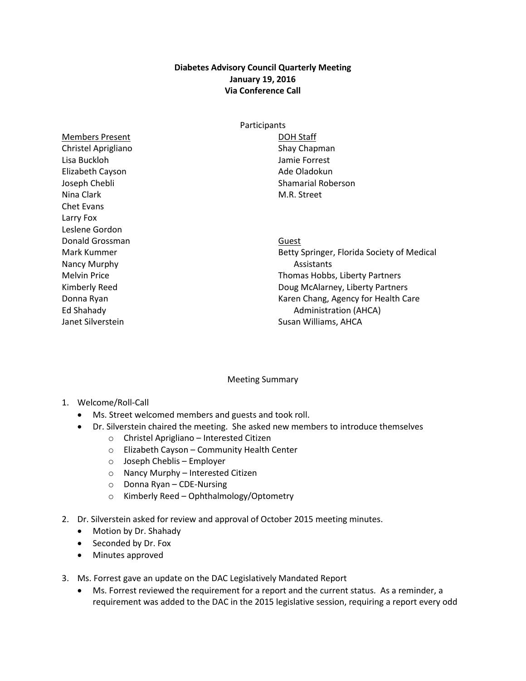## **Diabetes Advisory Council Quarterly Meeting January 19, 2016 Via Conference Call**

Members Present Christel Aprigliano Lisa Buckloh Elizabeth Cayson Joseph Chebli Nina Clark Chet Evans Larry Fox Leslene Gordon Donald Grossman Mark Kummer Nancy Murphy Melvin Price Kimberly Reed Donna Ryan Ed Shahady Janet Silverstein

## **Participants** DOH Staff Shay Chapman Jamie Forrest Ade Oladokun Shamarial Roberson M.R. Street

Guest

Betty Springer, Florida Society of Medical Assistants Thomas Hobbs, Liberty Partners Doug McAlarney, Liberty Partners Karen Chang, Agency for Health Care Administration (AHCA) Susan Williams, AHCA

## Meeting Summary

- 1. Welcome/Roll-Call
	- Ms. Street welcomed members and guests and took roll.
	- Dr. Silverstein chaired the meeting. She asked new members to introduce themselves
		- o Christel Aprigliano Interested Citizen
		- o Elizabeth Cayson Community Health Center
		- o Joseph Cheblis Employer
		- o Nancy Murphy Interested Citizen
		- o Donna Ryan CDE-Nursing
		- o Kimberly Reed Ophthalmology/Optometry
- 2. Dr. Silverstein asked for review and approval of October 2015 meeting minutes.
	- Motion by Dr. Shahady
	- Seconded by Dr. Fox
	- Minutes approved
- 3. Ms. Forrest gave an update on the DAC Legislatively Mandated Report
	- Ms. Forrest reviewed the requirement for a report and the current status. As a reminder, a requirement was added to the DAC in the 2015 legislative session, requiring a report every odd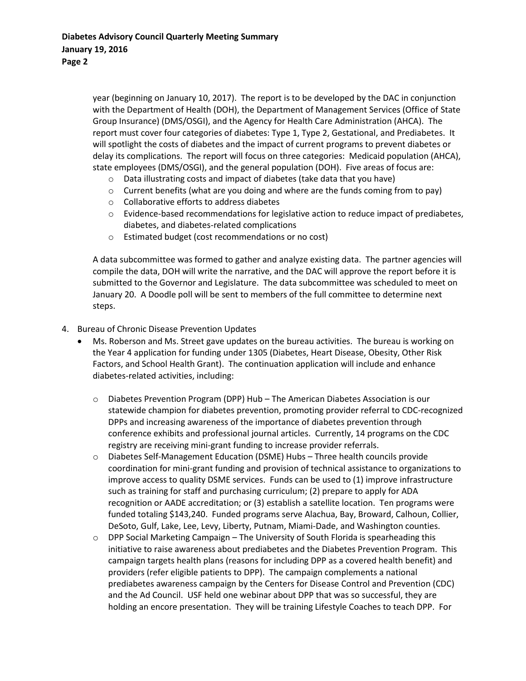year (beginning on January 10, 2017). The report is to be developed by the DAC in conjunction with the Department of Health (DOH), the Department of Management Services (Office of State Group Insurance) (DMS/OSGI), and the Agency for Health Care Administration (AHCA). The report must cover four categories of diabetes: Type 1, Type 2, Gestational, and Prediabetes. It will spotlight the costs of diabetes and the impact of current programs to prevent diabetes or delay its complications. The report will focus on three categories: Medicaid population (AHCA), state employees (DMS/OSGI), and the general population (DOH). Five areas of focus are:

- o Data illustrating costs and impact of diabetes (take data that you have)
- $\circ$  Current benefits (what are you doing and where are the funds coming from to pay)
- o Collaborative efforts to address diabetes
- $\circ$  Evidence-based recommendations for legislative action to reduce impact of prediabetes, diabetes, and diabetes-related complications
- o Estimated budget (cost recommendations or no cost)

A data subcommittee was formed to gather and analyze existing data. The partner agencies will compile the data, DOH will write the narrative, and the DAC will approve the report before it is submitted to the Governor and Legislature. The data subcommittee was scheduled to meet on January 20. A Doodle poll will be sent to members of the full committee to determine next steps.

- 4. Bureau of Chronic Disease Prevention Updates
	- Ms. Roberson and Ms. Street gave updates on the bureau activities. The bureau is working on the Year 4 application for funding under 1305 (Diabetes, Heart Disease, Obesity, Other Risk Factors, and School Health Grant). The continuation application will include and enhance diabetes-related activities, including:
		- o Diabetes Prevention Program (DPP) Hub The American Diabetes Association is our statewide champion for diabetes prevention, promoting provider referral to CDC-recognized DPPs and increasing awareness of the importance of diabetes prevention through conference exhibits and professional journal articles. Currently, 14 programs on the CDC registry are receiving mini-grant funding to increase provider referrals.
		- o Diabetes Self-Management Education (DSME) Hubs Three health councils provide coordination for mini-grant funding and provision of technical assistance to organizations to improve access to quality DSME services. Funds can be used to (1) improve infrastructure such as training for staff and purchasing curriculum; (2) prepare to apply for ADA recognition or AADE accreditation; or (3) establish a satellite location. Ten programs were funded totaling \$143,240. Funded programs serve Alachua, Bay, Broward, Calhoun, Collier, DeSoto, Gulf, Lake, Lee, Levy, Liberty, Putnam, Miami-Dade, and Washington counties.
		- DPP Social Marketing Campaign The University of South Florida is spearheading this initiative to raise awareness about prediabetes and the Diabetes Prevention Program. This campaign targets health plans (reasons for including DPP as a covered health benefit) and providers (refer eligible patients to DPP). The campaign complements a national prediabetes awareness campaign by the Centers for Disease Control and Prevention (CDC) and the Ad Council. USF held one webinar about DPP that was so successful, they are holding an encore presentation. They will be training Lifestyle Coaches to teach DPP. For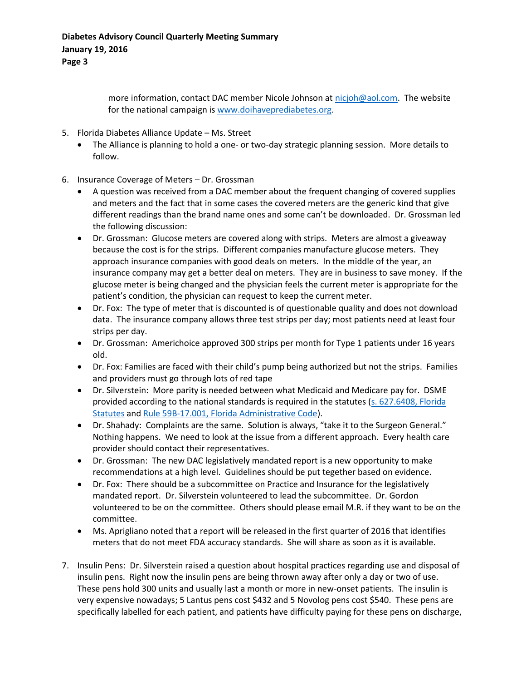more information, contact DAC member Nicole Johnson at [nicjoh@aol.com.](mailto:nicjoh@aol.com) The website for the national campaign is [www.doihaveprediabetes.org.](www.doihaveprediabetes.org)

- 5. Florida Diabetes Alliance Update Ms. Street
	- The Alliance is planning to hold a one- or two-day strategic planning session. More details to follow.
- 6. Insurance Coverage of Meters Dr. Grossman
	- A question was received from a DAC member about the frequent changing of covered supplies and meters and the fact that in some cases the covered meters are the generic kind that give different readings than the brand name ones and some can't be downloaded. Dr. Grossman led the following discussion:
	- Dr. Grossman: Glucose meters are covered along with strips. Meters are almost a giveaway because the cost is for the strips. Different companies manufacture glucose meters. They approach insurance companies with good deals on meters. In the middle of the year, an insurance company may get a better deal on meters. They are in business to save money. If the glucose meter is being changed and the physician feels the current meter is appropriate for the patient's condition, the physician can request to keep the current meter.
	- Dr. Fox: The type of meter that is discounted is of questionable quality and does not download data. The insurance company allows three test strips per day; most patients need at least four strips per day.
	- Dr. Grossman: Americhoice approved 300 strips per month for Type 1 patients under 16 years old.
	- Dr. Fox: Families are faced with their child's pump being authorized but not the strips. Families and providers must go through lots of red tape
	- Dr. Silverstein: More parity is needed between what Medicaid and Medicare pay for. DSME provided according to the national standards is required in the statutes (s. 627.6408, Florida [Statutes](http://www.leg.state.fl.us/statutes/index.cfm?App_mode=Display_Statute&Search_String=&URL=0600-0699/0627/Sections/0627.6408.html) an[d Rule 59B-17.001, Florida Administrative Code\)](https://www.flrules.org/gateway/ruleNo.asp?id=59B-17.001).
	- Dr. Shahady: Complaints are the same. Solution is always, "take it to the Surgeon General." Nothing happens. We need to look at the issue from a different approach. Every health care provider should contact their representatives.
	- Dr. Grossman: The new DAC legislatively mandated report is a new opportunity to make recommendations at a high level. Guidelines should be put tegether based on evidence.
	- Dr. Fox: There should be a subcommittee on Practice and Insurance for the legislatively mandated report. Dr. Silverstein volunteered to lead the subcommittee. Dr. Gordon volunteered to be on the committee. Others should please email M.R. if they want to be on the committee.
	- Ms. Aprigliano noted that a report will be released in the first quarter of 2016 that identifies meters that do not meet FDA accuracy standards. She will share as soon as it is available.
- 7. Insulin Pens: Dr. Silverstein raised a question about hospital practices regarding use and disposal of insulin pens. Right now the insulin pens are being thrown away after only a day or two of use. These pens hold 300 units and usually last a month or more in new-onset patients. The insulin is very expensive nowadays; 5 Lantus pens cost \$432 and 5 Novolog pens cost \$540. These pens are specifically labelled for each patient, and patients have difficulty paying for these pens on discharge,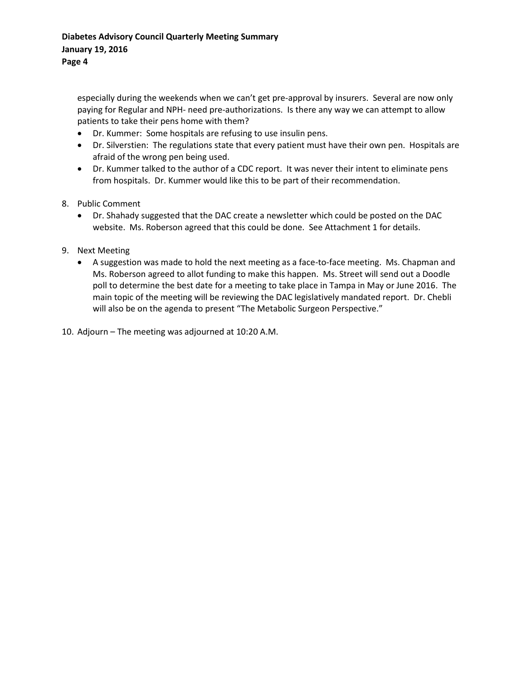especially during the weekends when we can't get pre-approval by insurers. Several are now only paying for Regular and NPH- need pre-authorizations. Is there any way we can attempt to allow patients to take their pens home with them?

- Dr. Kummer: Some hospitals are refusing to use insulin pens.
- Dr. Silverstien: The regulations state that every patient must have their own pen. Hospitals are afraid of the wrong pen being used.
- Dr. Kummer talked to the author of a CDC report. It was never their intent to eliminate pens from hospitals. Dr. Kummer would like this to be part of their recommendation.
- 8. Public Comment
	- Dr. Shahady suggested that the DAC create a newsletter which could be posted on the DAC website. Ms. Roberson agreed that this could be done. See Attachment 1 for details.
- 9. Next Meeting
	- A suggestion was made to hold the next meeting as a face-to-face meeting. Ms. Chapman and Ms. Roberson agreed to allot funding to make this happen. Ms. Street will send out a Doodle poll to determine the best date for a meeting to take place in Tampa in May or June 2016. The main topic of the meeting will be reviewing the DAC legislatively mandated report. Dr. Chebli will also be on the agenda to present "The Metabolic Surgeon Perspective."
- 10. Adjourn The meeting was adjourned at 10:20 A.M.